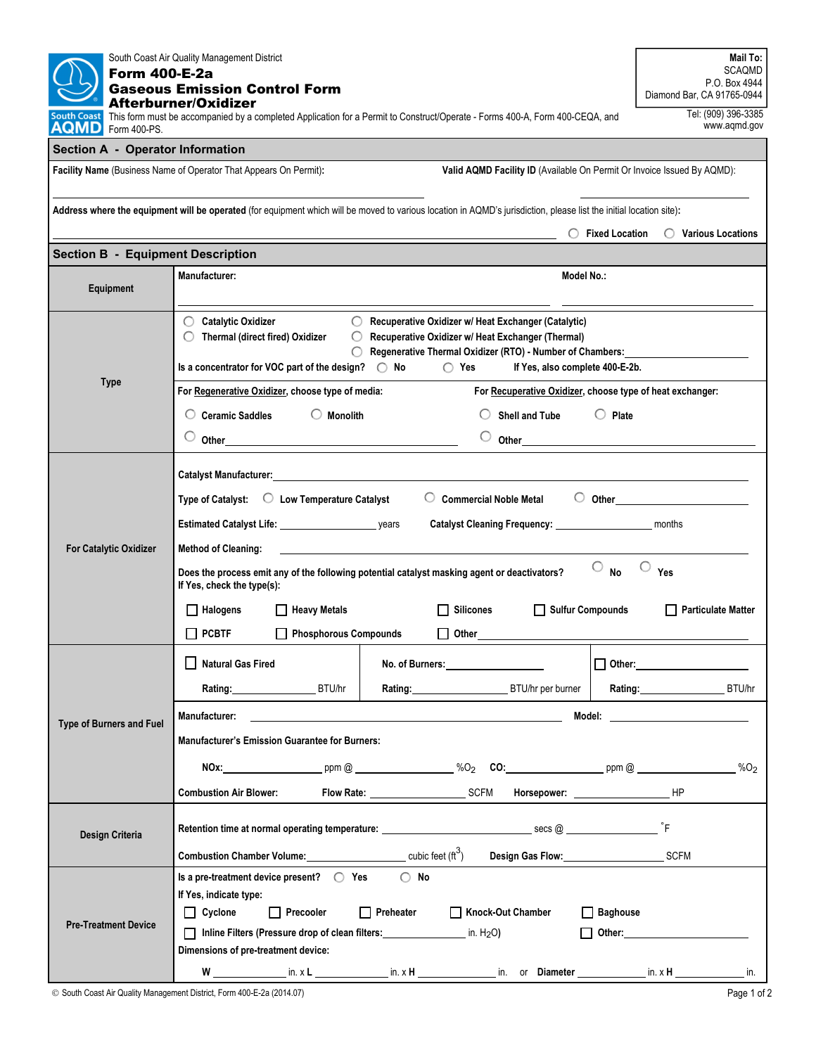| South Coast Air Quality Management District<br><b>Form 400-E-2a</b><br><b>Gaseous Emission Control Form</b><br>Afterburner/Oxidizer                                 | Mail To:<br><b>SCAQMD</b><br>P.O. Box 4944<br>Diamond Bar, CA 91765-0944                                                                                                                                                                                                                                                                        |                           |  |  |  |  |  |  |  |
|---------------------------------------------------------------------------------------------------------------------------------------------------------------------|-------------------------------------------------------------------------------------------------------------------------------------------------------------------------------------------------------------------------------------------------------------------------------------------------------------------------------------------------|---------------------------|--|--|--|--|--|--|--|
| This form must be accompanied by a completed Application for a Permit to Construct/Operate - Forms 400-A, Form 400-CEQA, and<br>South Coast<br>AQMD<br>Form 400-PS. | Tel: (909) 396-3385<br>www.aqmd.gov                                                                                                                                                                                                                                                                                                             |                           |  |  |  |  |  |  |  |
| <b>Section A - Operator Information</b>                                                                                                                             |                                                                                                                                                                                                                                                                                                                                                 |                           |  |  |  |  |  |  |  |
| Valid AQMD Facility ID (Available On Permit Or Invoice Issued By AQMD):<br>Facility Name (Business Name of Operator That Appears On Permit):                        |                                                                                                                                                                                                                                                                                                                                                 |                           |  |  |  |  |  |  |  |
|                                                                                                                                                                     |                                                                                                                                                                                                                                                                                                                                                 |                           |  |  |  |  |  |  |  |
| Address where the equipment will be operated (for equipment which will be moved to various location in AQMD's jurisdiction, please list the initial location site): |                                                                                                                                                                                                                                                                                                                                                 |                           |  |  |  |  |  |  |  |
| $\bigcirc$ Fixed Location<br>◯ Various Locations                                                                                                                    |                                                                                                                                                                                                                                                                                                                                                 |                           |  |  |  |  |  |  |  |
| <b>Section B - Equipment Description</b>                                                                                                                            |                                                                                                                                                                                                                                                                                                                                                 |                           |  |  |  |  |  |  |  |
| Equipment                                                                                                                                                           | Manufacturer:<br>Model No.:                                                                                                                                                                                                                                                                                                                     |                           |  |  |  |  |  |  |  |
|                                                                                                                                                                     | ◯ Catalytic Oxidizer<br>O.<br>Recuperative Oxidizer w/ Heat Exchanger (Catalytic)                                                                                                                                                                                                                                                               |                           |  |  |  |  |  |  |  |
|                                                                                                                                                                     | Thermal (direct fired) Oxidizer<br>Recuperative Oxidizer w/ Heat Exchanger (Thermal)<br>$\bigcirc$                                                                                                                                                                                                                                              |                           |  |  |  |  |  |  |  |
|                                                                                                                                                                     | Regenerative Thermal Oxidizer (RTO) - Number of Chambers:<br>$\bigcirc$ Yes<br>Is a concentrator for VOC part of the design? $\bigcirc$ No<br>If Yes, also complete 400-E-2b.                                                                                                                                                                   |                           |  |  |  |  |  |  |  |
| <b>Type</b>                                                                                                                                                         | For Regenerative Oxidizer, choose type of media:<br>For Recuperative Oxidizer, choose type of heat exchanger:                                                                                                                                                                                                                                   |                           |  |  |  |  |  |  |  |
|                                                                                                                                                                     | $\bigcirc$ Monolith<br><b>Ceramic Saddles</b><br>$\bigcirc$ Plate<br><b>Shell and Tube</b>                                                                                                                                                                                                                                                      |                           |  |  |  |  |  |  |  |
|                                                                                                                                                                     | Other and the contract of the contract of the contract of the contract of the contract of the contract of the contract of the contract of the contract of the contract of the contract of the contract of the contract of the<br>Other than the contract of the contract of the contract of the contract of the contract of the contract of the |                           |  |  |  |  |  |  |  |
|                                                                                                                                                                     |                                                                                                                                                                                                                                                                                                                                                 |                           |  |  |  |  |  |  |  |
|                                                                                                                                                                     |                                                                                                                                                                                                                                                                                                                                                 |                           |  |  |  |  |  |  |  |
|                                                                                                                                                                     | $\circ$ Commercial Noble Metal<br>Type of Catalyst: $\bigcirc$ Low Temperature Catalyst                                                                                                                                                                                                                                                         |                           |  |  |  |  |  |  |  |
| <b>For Catalytic Oxidizer</b>                                                                                                                                       | Catalyst Cleaning Frequency: _______________________ months                                                                                                                                                                                                                                                                                     |                           |  |  |  |  |  |  |  |
|                                                                                                                                                                     | <b>Method of Cleaning:</b>                                                                                                                                                                                                                                                                                                                      |                           |  |  |  |  |  |  |  |
|                                                                                                                                                                     | O<br>C<br><b>No</b><br>Yes<br>Does the process emit any of the following potential catalyst masking agent or deactivators?<br>If Yes, check the type(s):                                                                                                                                                                                        |                           |  |  |  |  |  |  |  |
|                                                                                                                                                                     | Sulfur Compounds<br>$\Box$ Halogens<br><b>Heavy Metals</b><br><b>Silicones</b>                                                                                                                                                                                                                                                                  | <b>Particulate Matter</b> |  |  |  |  |  |  |  |
|                                                                                                                                                                     | $\Box$ PCBTF<br>Phosphorous Compounds<br>l I<br>Other                                                                                                                                                                                                                                                                                           |                           |  |  |  |  |  |  |  |
|                                                                                                                                                                     |                                                                                                                                                                                                                                                                                                                                                 |                           |  |  |  |  |  |  |  |
|                                                                                                                                                                     | Natural Gas Fired<br>No. of Burners: _____________________                                                                                                                                                                                                                                                                                      | $\Box$ Other: $\Box$      |  |  |  |  |  |  |  |
|                                                                                                                                                                     | Rating: BTU/hr<br>Rating: BTU/hr per burner                                                                                                                                                                                                                                                                                                     | Rating: BTU/hr            |  |  |  |  |  |  |  |
| Type of Burners and Fuel                                                                                                                                            | <b>Manufacturer:</b><br><u> 1989 - Andrea Stadt Britain, amerikansk politik (</u>                                                                                                                                                                                                                                                               |                           |  |  |  |  |  |  |  |
|                                                                                                                                                                     | <b>Manufacturer's Emission Guarantee for Burners:</b>                                                                                                                                                                                                                                                                                           |                           |  |  |  |  |  |  |  |
|                                                                                                                                                                     | NOx: $\begin{array}{ccc}\n & & \text{ppm} \& 0 \\  & \text{ppm} \& 0\n\end{array}$ $\begin{array}{ccc}\n & \text{ppm} \& 0 \\  & \text{ppm} \& 0\n\end{array}$                                                                                                                                                                                  |                           |  |  |  |  |  |  |  |
|                                                                                                                                                                     | Flow Rate: SCFM Horsepower:<br><b>Combustion Air Blower:</b>                                                                                                                                                                                                                                                                                    | <b>HP</b>                 |  |  |  |  |  |  |  |
|                                                                                                                                                                     |                                                                                                                                                                                                                                                                                                                                                 |                           |  |  |  |  |  |  |  |
| Design Criteria                                                                                                                                                     |                                                                                                                                                                                                                                                                                                                                                 |                           |  |  |  |  |  |  |  |
|                                                                                                                                                                     | <b>Combustion Chamber Volume:</b> $\frac{1}{2}$ cubic feet (ft <sup>3</sup> )<br>Design Gas Flow: SCFM                                                                                                                                                                                                                                          |                           |  |  |  |  |  |  |  |
|                                                                                                                                                                     | $\bigcirc$ No<br>Is a pre-treatment device present?<br>C Yes                                                                                                                                                                                                                                                                                    |                           |  |  |  |  |  |  |  |
|                                                                                                                                                                     | If Yes, indicate type:<br>$\Box$ Cyclone<br>$\Box$ Precooler<br>Preheater Mock-Out Chamber<br>$\Box$ Baghouse                                                                                                                                                                                                                                   |                           |  |  |  |  |  |  |  |
| <b>Pre-Treatment Device</b>                                                                                                                                         | □ Inline Filters (Pressure drop of clean filters: $\Box$ in. H <sub>2</sub> O)                                                                                                                                                                                                                                                                  | $\Box$ Other:             |  |  |  |  |  |  |  |
|                                                                                                                                                                     | Dimensions of pre-treatment device:                                                                                                                                                                                                                                                                                                             |                           |  |  |  |  |  |  |  |
|                                                                                                                                                                     | W ________________in. x L ________________in. x H _______________in. or Diameter __________________ in. x H _____________                                                                                                                                                                                                                       | in.                       |  |  |  |  |  |  |  |